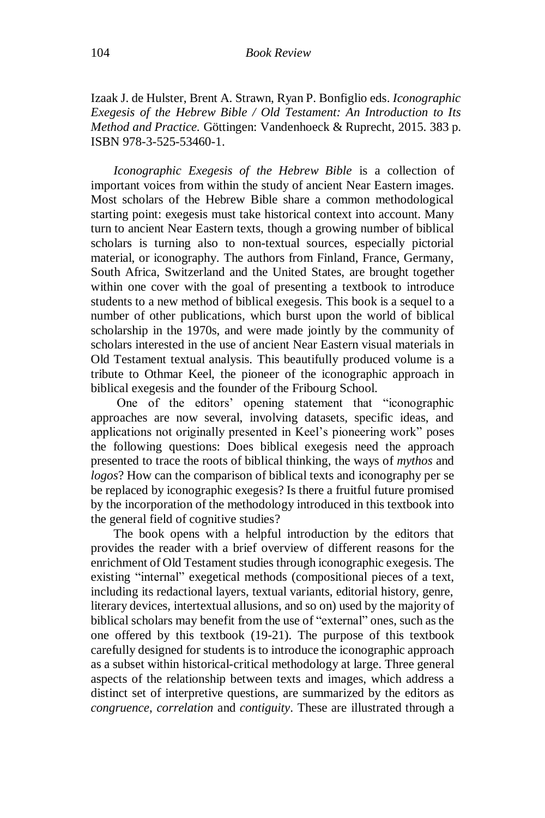Izaak J. de Hulster, Brent A. Strawn, Ryan P. Bonfiglio eds. *Iconographic Exegesis of the Hebrew Bible / Old Testament: An Introduction to Its Method and Practice.* Göttingen: Vandenhoeck & Ruprecht, 2015. 383 p. ISBN 978-3-525-53460-1.

*Iconographic Exegesis of the Hebrew Bible* is a collection of important voices from within the study of ancient Near Eastern images. Most scholars of the Hebrew Bible share a common methodological starting point: exegesis must take historical context into account. Many turn to ancient Near Eastern texts, though a growing number of biblical scholars is turning also to non-textual sources, especially pictorial material, or iconography. The authors from Finland, France, Germany, South Africa, Switzerland and the United States, are brought together within one cover with the goal of presenting a textbook to introduce students to a new method of biblical exegesis. This book is a sequel to a number of other publications, which burst upon the world of biblical scholarship in the 1970s, and were made jointly by the community of scholars interested in the use of ancient Near Eastern visual materials in Old Testament textual analysis. This beautifully produced volume is a tribute to Othmar Keel, the pioneer of the iconographic approach in biblical exegesis and the founder of the Fribourg School.

One of the editors' opening statement that "iconographic approaches are now several, involving datasets, specific ideas, and applications not originally presented in Keel's pioneering work" poses the following questions: Does biblical exegesis need the approach presented to trace the roots of biblical thinking, the ways of *mythos* and *logos*? How can the comparison of biblical texts and iconography per se be replaced by iconographic exegesis? Is there a fruitful future promised by the incorporation of the methodology introduced in this textbook into the general field of cognitive studies?

The book opens with a helpful introduction by the editors that provides the reader with a brief overview of different reasons for the enrichment of Old Testament studies through iconographic exegesis. The existing "internal" exegetical methods (compositional pieces of a text, including its redactional layers, textual variants, editorial history, genre, literary devices, intertextual allusions, and so on) used by the majority of biblical scholars may benefit from the use of "external" ones, such as the one offered by this textbook (19-21). The purpose of this textbook carefully designed for students is to introduce the iconographic approach as a subset within historical-critical methodology at large. Three general aspects of the relationship between texts and images, which address a distinct set of interpretive questions, are summarized by the editors as *congruence*, *correlation* and *contiguity*. These are illustrated through a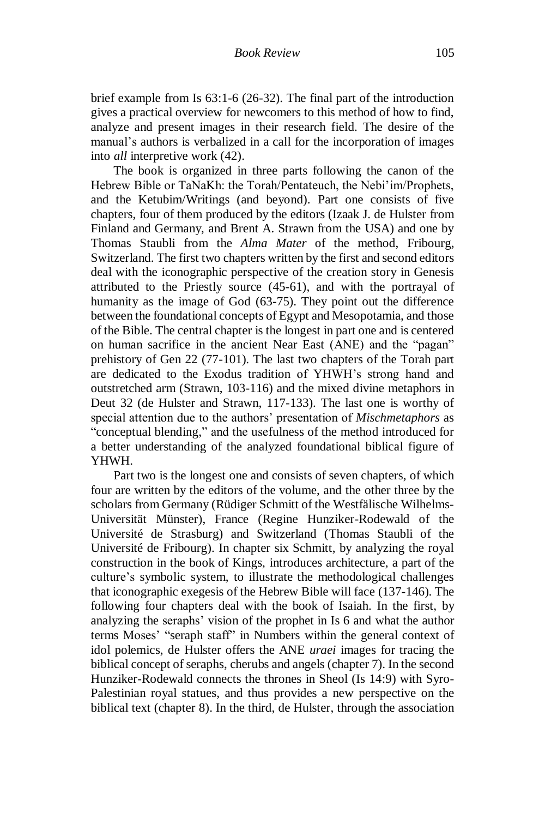brief example from Is 63:1-6 (26-32). The final part of the introduction gives a practical overview for newcomers to this method of how to find, analyze and present images in their research field. The desire of the manual's authors is verbalized in a call for the incorporation of images into *all* interpretive work (42).

The book is organized in three parts following the canon of the Hebrew Bible or TaNaKh: the Torah/Pentateuch, the Nebi'im/Prophets, and the Ketubim/Writings (and beyond). Part one consists of five chapters, four of them produced by the editors (Izaak J. de Hulster from Finland and Germany, and Brent A. Strawn from the USA) and one by Thomas Staubli from the *Alma Mater* of the method, Fribourg, Switzerland. The first two chapters written by the first and second editors deal with the iconographic perspective of the creation story in Genesis attributed to the Priestly source (45-61), and with the portrayal of humanity as the image of God (63-75). They point out the difference between the foundational concepts of Egypt and Mesopotamia, and those of the Bible. The central chapter is the longest in part one and is centered on human sacrifice in the ancient Near East (ANE) and the "pagan" prehistory of Gen 22 (77-101). The last two chapters of the Torah part are dedicated to the Exodus tradition of YHWH's strong hand and outstretched arm (Strawn, 103-116) and the mixed divine metaphors in Deut 32 (de Hulster and Strawn, 117-133). The last one is worthy of special attention due to the authors' presentation of *Mischmetaphors* as "conceptual blending," and the usefulness of the method introduced for a better understanding of the analyzed foundational biblical figure of YHWH.

Part two is the longest one and consists of seven chapters, of which four are written by the editors of the volume, and the other three by the scholars from Germany (Rüdiger Schmitt of the Westfälische Wilhelms-Universität Münster), France (Regine Hunziker-Rodewald of the Université de Strasburg) and Switzerland (Thomas Staubli of the Université de Fribourg). In chapter six Schmitt, by analyzing the royal construction in the book of Kings, introduces architecture, a part of the culture's symbolic system, to illustrate the methodological challenges that iconographic exegesis of the Hebrew Bible will face (137-146). The following four chapters deal with the book of Isaiah. In the first, by analyzing the seraphs' vision of the prophet in Is 6 and what the author terms Moses' "seraph staff" in Numbers within the general context of idol polemics, de Hulster offers the ANE *uraei* images for tracing the biblical concept of seraphs, cherubs and angels (chapter 7). In the second Hunziker-Rodewald connects the thrones in Sheol (Is 14:9) with Syro-Palestinian royal statues, and thus provides a new perspective on the biblical text (chapter 8). In the third, de Hulster, through the association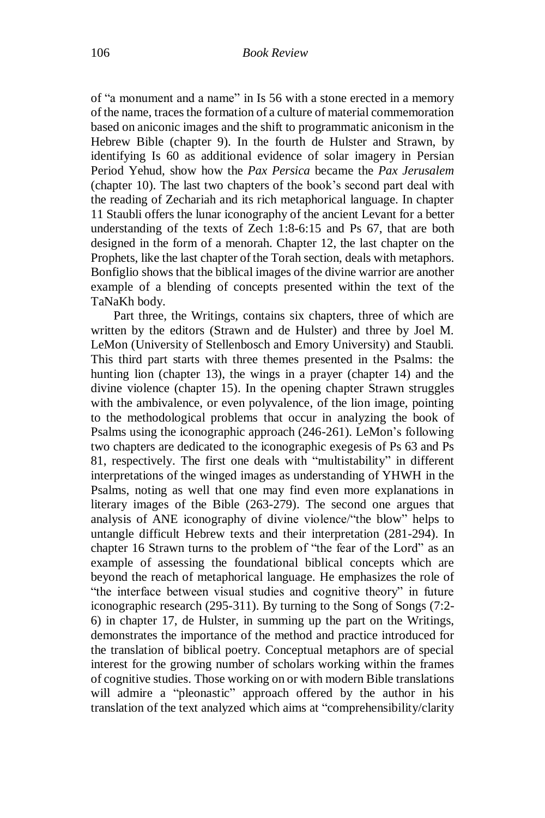of "a monument and a name" in Is 56 with a stone erected in a memory of the name, traces the formation of a culture of material commemoration based on aniconic images and the shift to programmatic aniconism in the Hebrew Bible (chapter 9). In the fourth de Hulster and Strawn, by identifying Is 60 as additional evidence of solar imagery in Persian Period Yehud, show how the *Pax Persica* became the *Pax Jerusalem* (chapter 10). The last two chapters of the book's second part deal with the reading of Zechariah and its rich metaphorical language. In chapter 11 Staubli offers the lunar iconography of the ancient Levant for a better understanding of the texts of Zech 1:8-6:15 and Ps 67, that are both designed in the form of a menorah. Chapter 12, the last chapter on the Prophets, like the last chapter of the Torah section, deals with metaphors. Bonfiglio shows that the biblical images of the divine warrior are another example of a blending of concepts presented within the text of the TaNaKh body.

Part three, the Writings, contains six chapters, three of which are written by the editors (Strawn and de Hulster) and three by Joel M. LeMon (University of Stellenbosch and Emory University) and Staubli. This third part starts with three themes presented in the Psalms: the hunting lion (chapter 13), the wings in a prayer (chapter 14) and the divine violence (chapter 15). In the opening chapter Strawn struggles with the ambivalence, or even polyvalence, of the lion image, pointing to the methodological problems that occur in analyzing the book of Psalms using the iconographic approach (246-261). LeMon's following two chapters are dedicated to the iconographic exegesis of Ps 63 and Ps 81, respectively. The first one deals with "multistability" in different interpretations of the winged images as understanding of YHWH in the Psalms, noting as well that one may find even more explanations in literary images of the Bible (263-279). The second one argues that analysis of ANE iconography of divine violence/"the blow" helps to untangle difficult Hebrew texts and their interpretation (281-294). In chapter 16 Strawn turns to the problem of "the fear of the Lord" as an example of assessing the foundational biblical concepts which are beyond the reach of metaphorical language. He emphasizes the role of "the interface between visual studies and cognitive theory" in future iconographic research (295-311). By turning to the Song of Songs (7:2- 6) in chapter 17, de Hulster, in summing up the part on the Writings, demonstrates the importance of the method and practice introduced for the translation of biblical poetry. Conceptual metaphors are of special interest for the growing number of scholars working within the frames of cognitive studies. Those working on or with modern Bible translations will admire a "pleonastic" approach offered by the author in his translation of the text analyzed which aims at "comprehensibility/clarity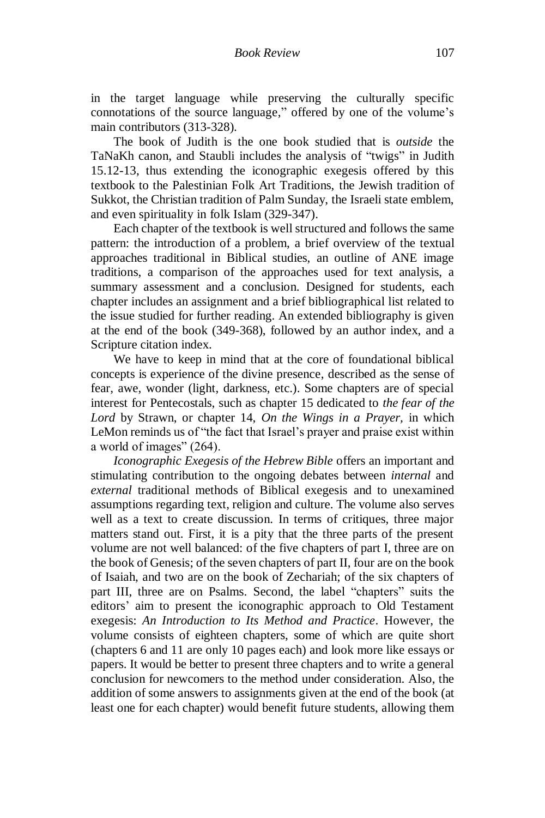in the target language while preserving the culturally specific connotations of the source language," offered by one of the volume's main contributors (313-328).

The book of Judith is the one book studied that is *outside* the TaNaKh canon, and Staubli includes the analysis of "twigs" in Judith 15.12-13, thus extending the iconographic exegesis offered by this textbook to the Palestinian Folk Art Traditions, the Jewish tradition of Sukkot, the Christian tradition of Palm Sunday, the Israeli state emblem, and even spirituality in folk Islam (329-347).

Each chapter of the textbook is well structured and follows the same pattern: the introduction of a problem, a brief overview of the textual approaches traditional in Biblical studies, an outline of ANE image traditions, a comparison of the approaches used for text analysis, a summary assessment and a conclusion. Designed for students, each chapter includes an assignment and a brief bibliographical list related to the issue studied for further reading. An extended bibliography is given at the end of the book (349-368), followed by an author index, and a Scripture citation index.

We have to keep in mind that at the core of foundational biblical concepts is experience of the divine presence, described as the sense of fear, awe, wonder (light, darkness, etc.). Some chapters are of special interest for Pentecostals, such as chapter 15 dedicated to *the fear of the Lord* by Strawn, or chapter 14, *On the Wings in a Prayer,* in which LeMon reminds us of "the fact that Israel's prayer and praise exist within a world of images" (264).

*Iconographic Exegesis of the Hebrew Bible* offers an important and stimulating contribution to the ongoing debates between *internal* and *external* traditional methods of Biblical exegesis and to unexamined assumptions regarding text, religion and culture. The volume also serves well as a text to create discussion. In terms of critiques, three major matters stand out. First, it is a pity that the three parts of the present volume are not well balanced: of the five chapters of part I, three are on the book of Genesis; of the seven chapters of part II, four are on the book of Isaiah, and two are on the book of Zechariah; of the six chapters of part III, three are on Psalms. Second, the label "chapters" suits the editors' aim to present the iconographic approach to Old Testament exegesis: *An Introduction to Its Method and Practice*. However, the volume consists of eighteen chapters, some of which are quite short (chapters 6 and 11 are only 10 pages each) and look more like essays or papers. It would be better to present three chapters and to write a general conclusion for newcomers to the method under consideration. Also, the addition of some answers to assignments given at the end of the book (at least one for each chapter) would benefit future students, allowing them